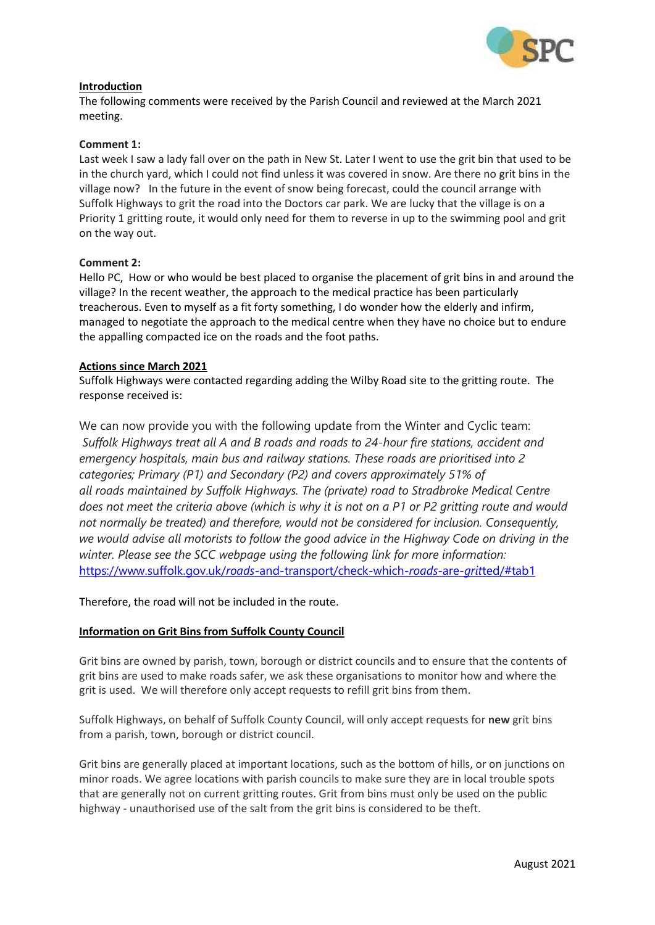

### **Introduction**

The following comments were received by the Parish Council and reviewed at the March 2021 meeting.

### **Comment 1:**

Last week I saw a lady fall over on the path in New St. Later I went to use the grit bin that used to be in the church yard, which I could not find unless it was covered in snow. Are there no grit bins in the village now? In the future in the event of snow being forecast, could the council arrange with Suffolk Highways to grit the road into the Doctors car park. We are lucky that the village is on a Priority 1 gritting route, it would only need for them to reverse in up to the swimming pool and grit on the way out.

#### **Comment 2:**

Hello PC, How or who would be best placed to organise the placement of grit bins in and around the village? In the recent weather, the approach to the medical practice has been particularly treacherous. Even to myself as a fit forty something, I do wonder how the elderly and infirm, managed to negotiate the approach to the medical centre when they have no choice but to endure the appalling compacted ice on the roads and the foot paths.

#### **Actions since March 2021**

Suffolk Highways were contacted regarding adding the Wilby Road site to the gritting route. The response received is:

We can now provide you with the following update from the Winter and Cyclic team: *Suffolk Highways treat all A and B roads and roads to 24-hour fire stations, accident and emergency hospitals, main bus and railway stations. These roads are prioritised into 2 categories; Primary (P1) and Secondary (P2) and covers approximately 51% of all roads maintained by Suffolk Highways. The (private) road to Stradbroke Medical Centre* does not meet the criteria above (which is why it is not on a P1 or P2 gritting route and would *not normally be treated) and therefore, would not be considered for inclusion. Consequently, we would advise all motorists to follow the good advice in the Highway Code on driving in the winter. Please see the SCC webpage using the following link for more information:* https://www.suffolk.gov.uk/*roads*[-and-transport/check-which-](https://www.suffolk.gov.uk/roads-and-transport/check-which-roads-are-gritted/#tab1)*roads*-are-*grit*ted/#tab1

Therefore, the road will not be included in the route.

### **Information on Grit Bins from Suffolk County Council**

Grit bins are owned by parish, town, borough or district councils and to ensure that the contents of grit bins are used to make roads safer, we ask these organisations to monitor how and where the grit is used. We will therefore only accept requests to refill grit bins from them.

Suffolk Highways, on behalf of Suffolk County Council, will only accept requests for **new** grit bins from a parish, town, borough or district council.

Grit bins are generally placed at important locations, such as the bottom of hills, or on junctions on minor roads. We agree locations with parish councils to make sure they are in local trouble spots that are generally not on current gritting routes. Grit from bins must only be used on the public highway - unauthorised use of the salt from the grit bins is considered to be theft.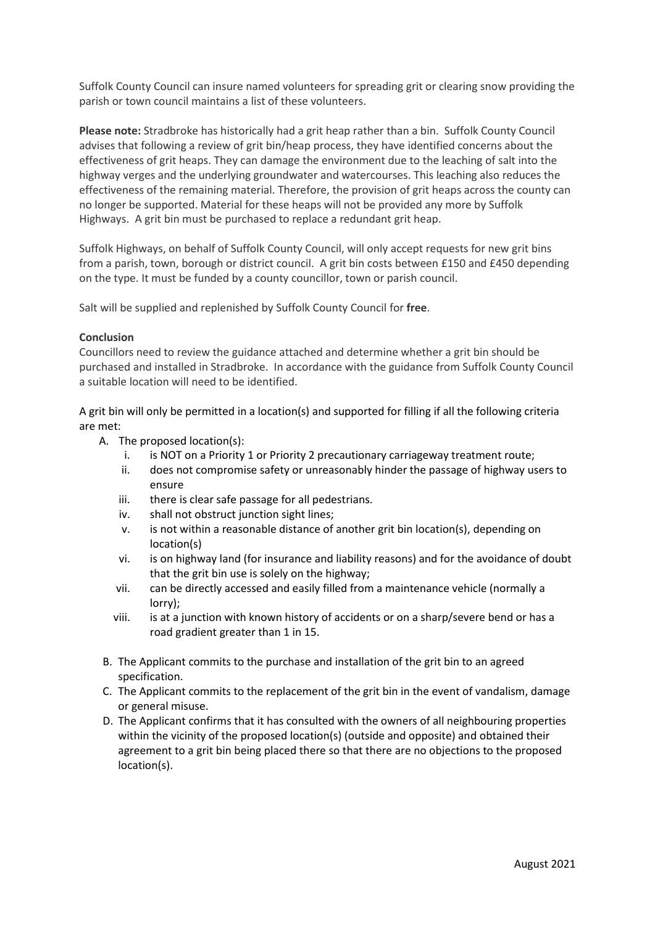Suffolk County Council can insure named volunteers for spreading grit or clearing snow providing the parish or town council maintains a list of these volunteers.

**Please note:** Stradbroke has historically had a grit heap rather than a bin. Suffolk County Council advises that following a review of grit bin/heap process, they have identified concerns about the effectiveness of grit heaps. They can damage the environment due to the leaching of salt into the highway verges and the underlying groundwater and watercourses. This leaching also reduces the effectiveness of the remaining material. Therefore, the provision of grit heaps across the county can no longer be supported. Material for these heaps will not be provided any more by Suffolk Highways. A grit bin must be purchased to replace a redundant grit heap.

Suffolk Highways, on behalf of Suffolk County Council, will only accept requests for new grit bins from a parish, town, borough or district council. A grit bin costs between £150 and £450 depending on the type. It must be funded by a county councillor, town or parish council.

Salt will be supplied and replenished by Suffolk County Council for **free**.

### **Conclusion**

Councillors need to review the guidance attached and determine whether a grit bin should be purchased and installed in Stradbroke. In accordance with the guidance from Suffolk County Council a suitable location will need to be identified.

A grit bin will only be permitted in a location(s) and supported for filling if all the following criteria are met:

- A. The proposed location(s):
	- i. is NOT on a Priority 1 or Priority 2 precautionary carriageway treatment route;
	- ii. does not compromise safety or unreasonably hinder the passage of highway users to ensure
	- iii. there is clear safe passage for all pedestrians.
	- iv. shall not obstruct junction sight lines;
	- v. is not within a reasonable distance of another grit bin location(s), depending on location(s)
	- vi. is on highway land (for insurance and liability reasons) and for the avoidance of doubt that the grit bin use is solely on the highway;
	- vii. can be directly accessed and easily filled from a maintenance vehicle (normally a lorry);
	- viii. is at a junction with known history of accidents or on a sharp/severe bend or has a road gradient greater than 1 in 15.
- B. The Applicant commits to the purchase and installation of the grit bin to an agreed specification.
- C. The Applicant commits to the replacement of the grit bin in the event of vandalism, damage or general misuse.
- D. The Applicant confirms that it has consulted with the owners of all neighbouring properties within the vicinity of the proposed location(s) (outside and opposite) and obtained their agreement to a grit bin being placed there so that there are no objections to the proposed location(s).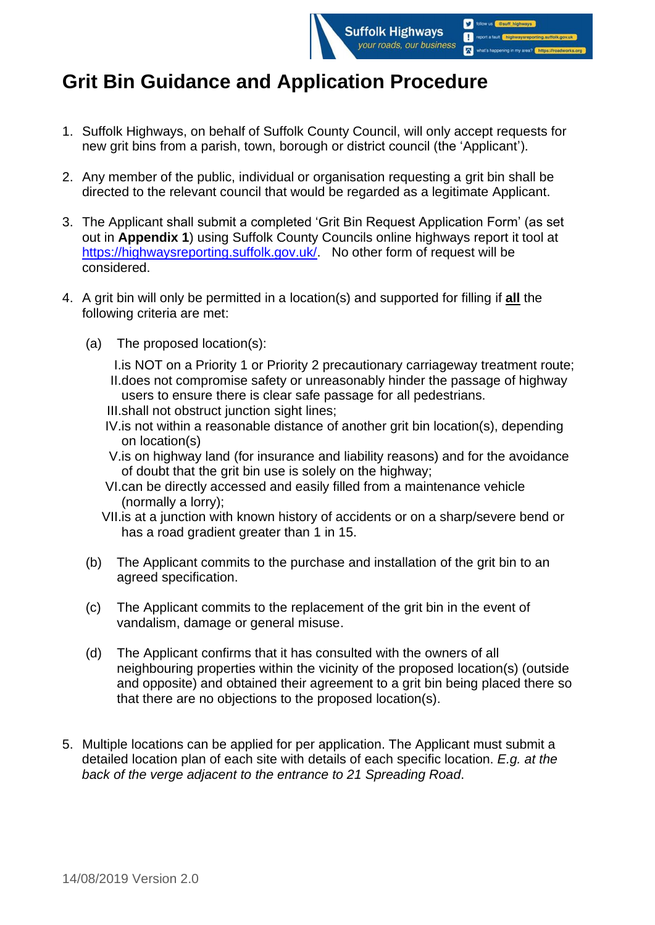

- 1. Suffolk Highways, on behalf of Suffolk County Council, will only accept requests for new grit bins from a parish, town, borough or district council (the 'Applicant').
- 2. Any member of the public, individual or organisation requesting a grit bin shall be directed to the relevant council that would be regarded as a legitimate Applicant.
- 3. The Applicant shall submit a completed 'Grit Bin Request Application Form' (as set out in **Appendix 1**) using Suffolk County Councils online highways report it tool at [https://highwaysreporting.suffolk.gov.uk/.](https://highwaysreporting.suffolk.gov.uk/) No other form of request will be considered.
- 4. A grit bin will only be permitted in a location(s) and supported for filling if **all** the following criteria are met:
	- (a) The proposed location(s):
		- I.is NOT on a Priority 1 or Priority 2 precautionary carriageway treatment route; II.does not compromise safety or unreasonably hinder the passage of highway users to ensure there is clear safe passage for all pedestrians.
		- III.shall not obstruct junction sight lines;
		- IV.is not within a reasonable distance of another grit bin location(s), depending on location(s)
		- V.is on highway land (for insurance and liability reasons) and for the avoidance of doubt that the grit bin use is solely on the highway;
		- VI.can be directly accessed and easily filled from a maintenance vehicle (normally a lorry);
		- VII.is at a junction with known history of accidents or on a sharp/severe bend or has a road gradient greater than 1 in 15.
	- (b) The Applicant commits to the purchase and installation of the grit bin to an agreed specification.
	- (c) The Applicant commits to the replacement of the grit bin in the event of vandalism, damage or general misuse.
	- (d) The Applicant confirms that it has consulted with the owners of all neighbouring properties within the vicinity of the proposed location(s) (outside and opposite) and obtained their agreement to a grit bin being placed there so that there are no objections to the proposed location(s).
- 5. Multiple locations can be applied for per application. The Applicant must submit a detailed location plan of each site with details of each specific location. *E.g. at the back of the verge adjacent to the entrance to 21 Spreading Road*.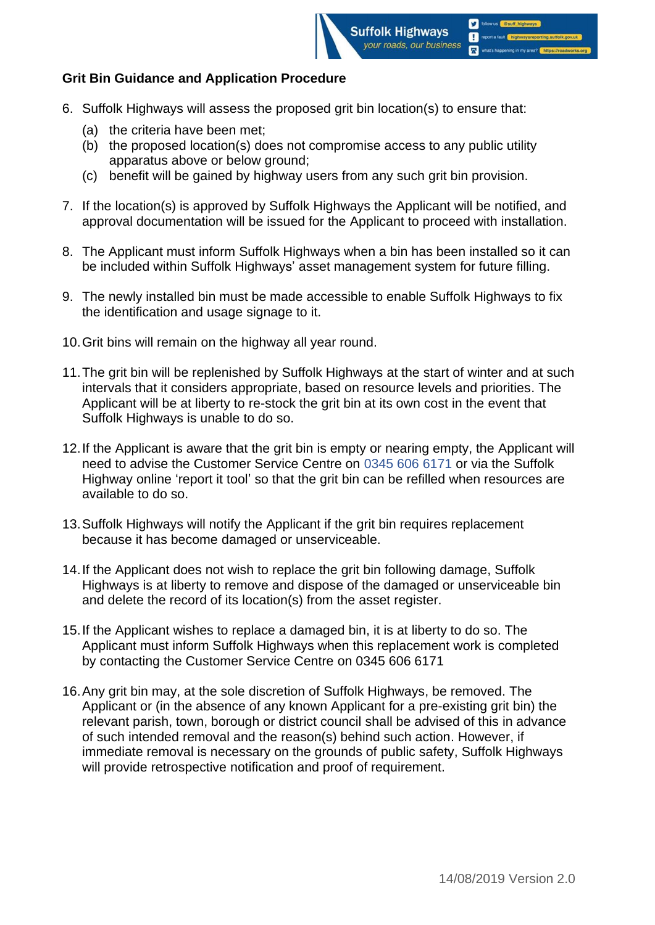

- 6. Suffolk Highways will assess the proposed grit bin location(s) to ensure that:
	- (a) the criteria have been met;
	- (b) the proposed location(s) does not compromise access to any public utility apparatus above or below ground;
	- (c) benefit will be gained by highway users from any such grit bin provision.
- 7. If the location(s) is approved by Suffolk Highways the Applicant will be notified, and approval documentation will be issued for the Applicant to proceed with installation.
- 8. The Applicant must inform Suffolk Highways when a bin has been installed so it can be included within Suffolk Highways' asset management system for future filling.
- 9. The newly installed bin must be made accessible to enable Suffolk Highways to fix the identification and usage signage to it.
- 10.Grit bins will remain on the highway all year round.
- 11.The grit bin will be replenished by Suffolk Highways at the start of winter and at such intervals that it considers appropriate, based on resource levels and priorities. The Applicant will be at liberty to re-stock the grit bin at its own cost in the event that Suffolk Highways is unable to do so.
- 12.If the Applicant is aware that the grit bin is empty or nearing empty, the Applicant will need to advise the Customer Service Centre on 0345 606 6171 or via the Suffolk Highway online 'report it tool' so that the grit bin can be refilled when resources are available to do so.
- 13.Suffolk Highways will notify the Applicant if the grit bin requires replacement because it has become damaged or unserviceable.
- 14.If the Applicant does not wish to replace the grit bin following damage, Suffolk Highways is at liberty to remove and dispose of the damaged or unserviceable bin and delete the record of its location(s) from the asset register.
- 15.If the Applicant wishes to replace a damaged bin, it is at liberty to do so. The Applicant must inform Suffolk Highways when this replacement work is completed by contacting the Customer Service Centre on 0345 606 6171
- 16.Any grit bin may, at the sole discretion of Suffolk Highways, be removed. The Applicant or (in the absence of any known Applicant for a pre-existing grit bin) the relevant parish, town, borough or district council shall be advised of this in advance of such intended removal and the reason(s) behind such action. However, if immediate removal is necessary on the grounds of public safety, Suffolk Highways will provide retrospective notification and proof of requirement.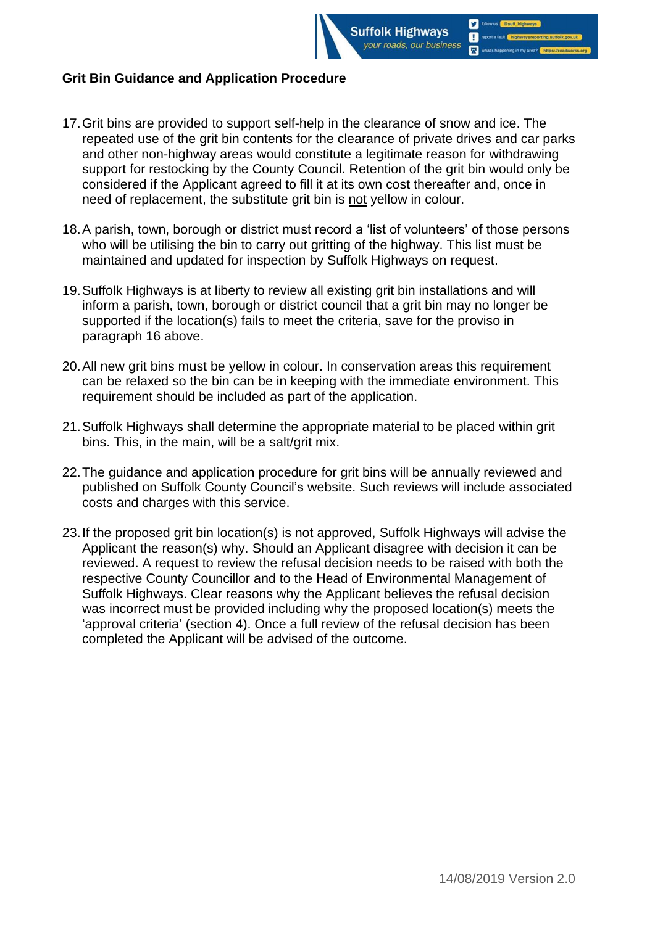

- 17.Grit bins are provided to support self-help in the clearance of snow and ice. The repeated use of the grit bin contents for the clearance of private drives and car parks and other non-highway areas would constitute a legitimate reason for withdrawing support for restocking by the County Council. Retention of the grit bin would only be considered if the Applicant agreed to fill it at its own cost thereafter and, once in need of replacement, the substitute grit bin is not yellow in colour.
- 18.A parish, town, borough or district must record a 'list of volunteers' of those persons who will be utilising the bin to carry out gritting of the highway. This list must be maintained and updated for inspection by Suffolk Highways on request.
- 19.Suffolk Highways is at liberty to review all existing grit bin installations and will inform a parish, town, borough or district council that a grit bin may no longer be supported if the location(s) fails to meet the criteria, save for the proviso in paragraph 16 above.
- 20.All new grit bins must be yellow in colour. In conservation areas this requirement can be relaxed so the bin can be in keeping with the immediate environment. This requirement should be included as part of the application.
- 21.Suffolk Highways shall determine the appropriate material to be placed within grit bins. This, in the main, will be a salt/grit mix.
- 22.The guidance and application procedure for grit bins will be annually reviewed and published on Suffolk County Council's website. Such reviews will include associated costs and charges with this service.
- 23.If the proposed grit bin location(s) is not approved, Suffolk Highways will advise the Applicant the reason(s) why. Should an Applicant disagree with decision it can be reviewed. A request to review the refusal decision needs to be raised with both the respective County Councillor and to the Head of Environmental Management of Suffolk Highways. Clear reasons why the Applicant believes the refusal decision was incorrect must be provided including why the proposed location(s) meets the 'approval criteria' (section 4). Once a full review of the refusal decision has been completed the Applicant will be advised of the outcome.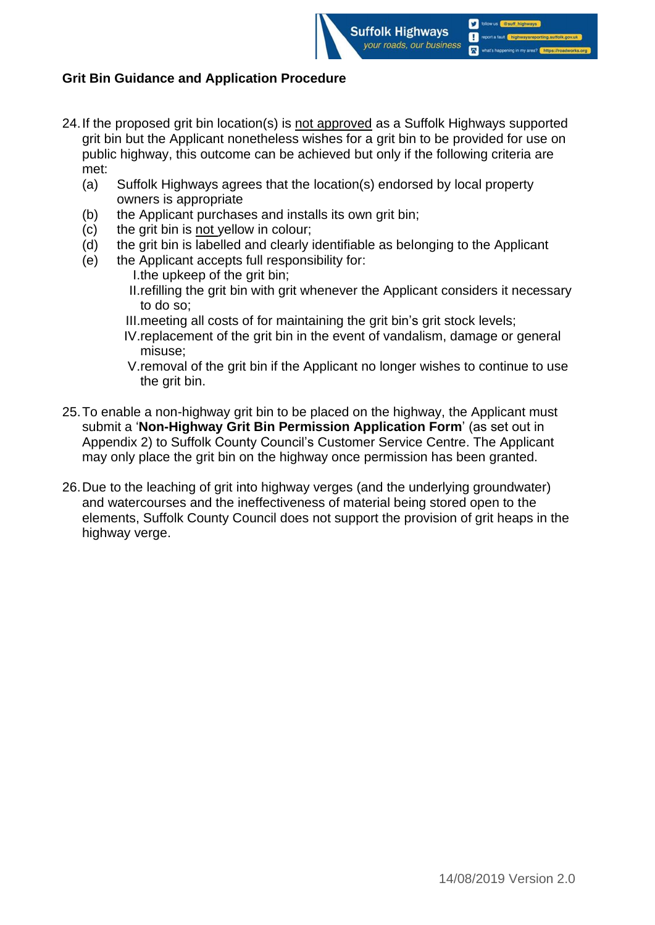

- 24. If the proposed grit bin location(s) is not approved as a Suffolk Highways supported grit bin but the Applicant nonetheless wishes for a grit bin to be provided for use on public highway, this outcome can be achieved but only if the following criteria are met:
	- (a) Suffolk Highways agrees that the location(s) endorsed by local property owners is appropriate
	- (b) the Applicant purchases and installs its own grit bin;
	- (c) the grit bin is not yellow in colour;
	- (d) the grit bin is labelled and clearly identifiable as belonging to the Applicant
	- (e) the Applicant accepts full responsibility for:
		- I.the upkeep of the grit bin;
		- II.refilling the grit bin with grit whenever the Applicant considers it necessary to do so;
		- III.meeting all costs of for maintaining the grit bin's grit stock levels;
		- IV.replacement of the grit bin in the event of vandalism, damage or general misuse;
		- V.removal of the grit bin if the Applicant no longer wishes to continue to use the grit bin.
- 25.To enable a non-highway grit bin to be placed on the highway, the Applicant must submit a '**Non-Highway Grit Bin Permission Application Form**' (as set out in Appendix 2) to Suffolk County Council's Customer Service Centre. The Applicant may only place the grit bin on the highway once permission has been granted.
- 26.Due to the leaching of grit into highway verges (and the underlying groundwater) and watercourses and the ineffectiveness of material being stored open to the elements, Suffolk County Council does not support the provision of grit heaps in the highway verge.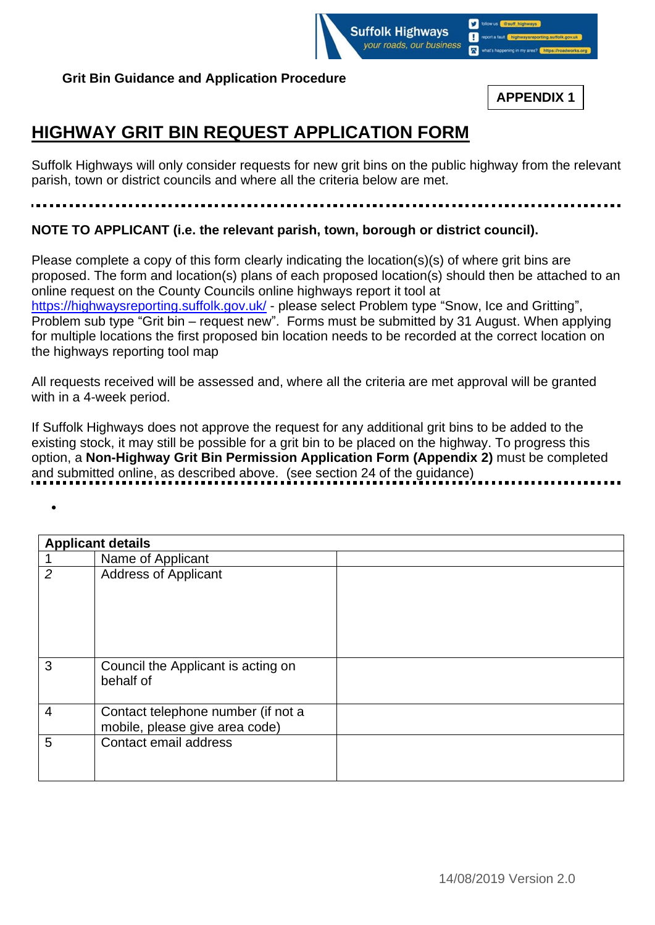

•

**APPENDIX 1**

# **HIGHWAY GRIT BIN REQUEST APPLICATION FORM**

Suffolk Highways will only consider requests for new grit bins on the public highway from the relevant parish, town or district councils and where all the criteria below are met.

## **NOTE TO APPLICANT (i.e. the relevant parish, town, borough or district council).**

Please complete a copy of this form clearly indicating the location(s)(s) of where grit bins are proposed. The form and location(s) plans of each proposed location(s) should then be attached to an online request on the County Councils online highways report it tool at <https://highwaysreporting.suffolk.gov.uk/> - please select Problem type "Snow, Ice and Gritting", Problem sub type "Grit bin – request new". Forms must be submitted by 31 August. When applying for multiple locations the first proposed bin location needs to be recorded at the correct location on the highways reporting tool map

All requests received will be assessed and, where all the criteria are met approval will be granted with in a 4-week period.

If Suffolk Highways does not approve the request for any additional grit bins to be added to the existing stock, it may still be possible for a grit bin to be placed on the highway. To progress this option, a **Non-Highway Grit Bin Permission Application Form (Appendix 2)** must be completed and submitted online, as described above. (see section 24 of the guidance)

|                | <b>Applicant details</b>                                             |  |  |
|----------------|----------------------------------------------------------------------|--|--|
|                | Name of Applicant                                                    |  |  |
| $\overline{2}$ | <b>Address of Applicant</b>                                          |  |  |
| 3              | Council the Applicant is acting on<br>behalf of                      |  |  |
| 4              | Contact telephone number (if not a<br>mobile, please give area code) |  |  |
| 5              | Contact email address                                                |  |  |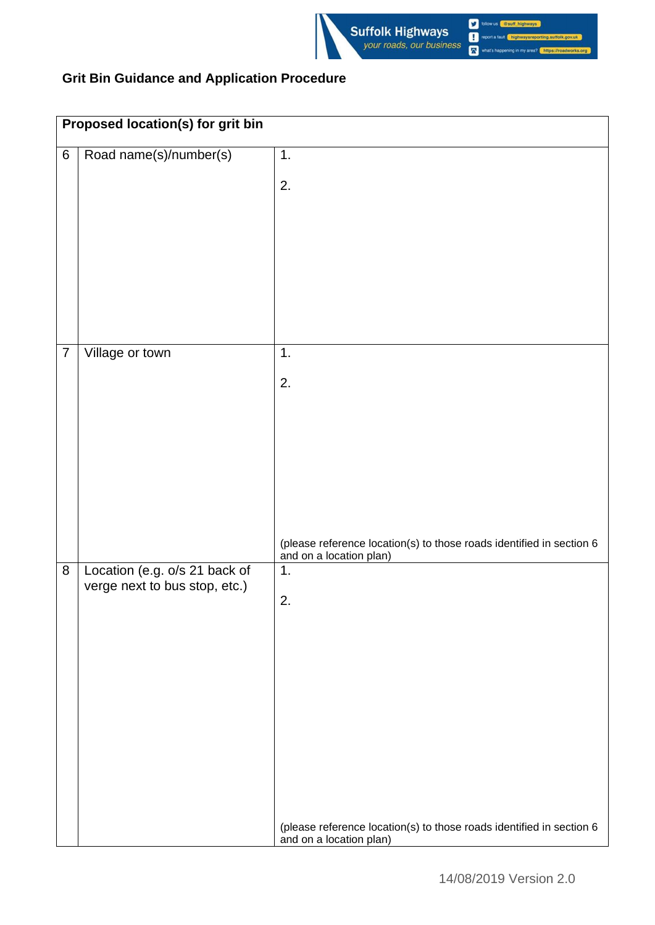

|                | Proposed location(s) for grit bin                              |                                                                                                 |  |
|----------------|----------------------------------------------------------------|-------------------------------------------------------------------------------------------------|--|
| $\,6\,$        | Road name(s)/number(s)                                         | 1.                                                                                              |  |
|                |                                                                | 2.                                                                                              |  |
|                |                                                                |                                                                                                 |  |
|                |                                                                |                                                                                                 |  |
|                |                                                                |                                                                                                 |  |
|                |                                                                |                                                                                                 |  |
|                |                                                                |                                                                                                 |  |
| $\overline{7}$ | Village or town                                                | 1.                                                                                              |  |
|                |                                                                |                                                                                                 |  |
|                |                                                                | 2.                                                                                              |  |
|                |                                                                |                                                                                                 |  |
|                |                                                                |                                                                                                 |  |
|                |                                                                |                                                                                                 |  |
|                |                                                                |                                                                                                 |  |
|                |                                                                |                                                                                                 |  |
|                |                                                                | (please reference location(s) to those roads identified in section 6<br>and on a location plan) |  |
| 8              | Location (e.g. o/s 21 back of<br>verge next to bus stop, etc.) | 1.                                                                                              |  |
|                |                                                                | $\overline{2}$                                                                                  |  |
|                |                                                                |                                                                                                 |  |
|                |                                                                |                                                                                                 |  |
|                |                                                                |                                                                                                 |  |
|                |                                                                |                                                                                                 |  |
|                |                                                                |                                                                                                 |  |
|                |                                                                |                                                                                                 |  |
|                |                                                                |                                                                                                 |  |
|                |                                                                |                                                                                                 |  |
|                |                                                                | (please reference location(s) to those roads identified in section 6<br>and on a location plan) |  |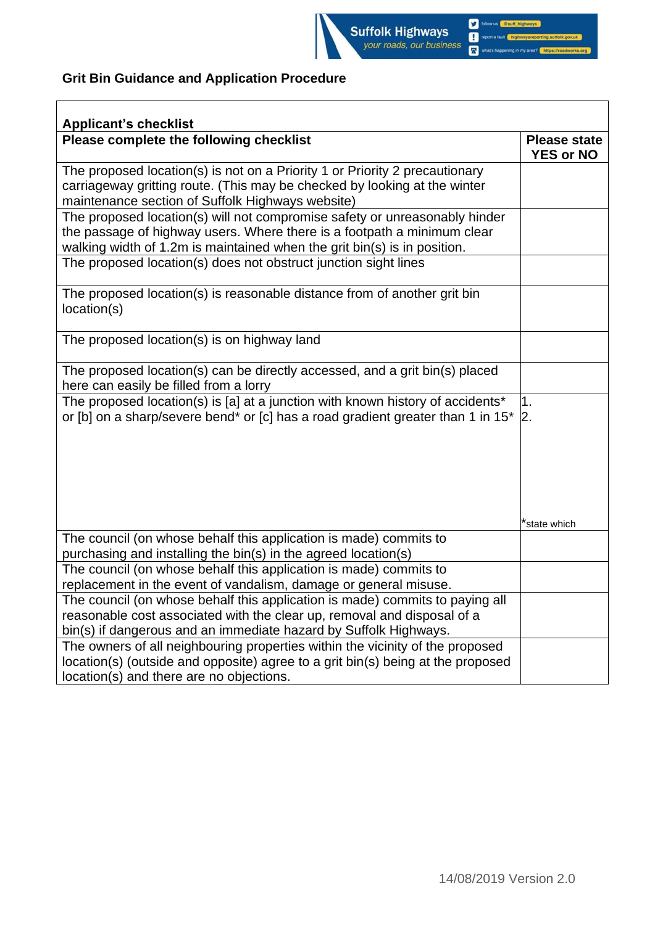

| <b>Applicant's checklist</b>                                                                                                                                                                                                      |                                         |
|-----------------------------------------------------------------------------------------------------------------------------------------------------------------------------------------------------------------------------------|-----------------------------------------|
| Please complete the following checklist                                                                                                                                                                                           | <b>Please state</b><br><b>YES or NO</b> |
| The proposed location(s) is not on a Priority 1 or Priority 2 precautionary<br>carriageway gritting route. (This may be checked by looking at the winter<br>maintenance section of Suffolk Highways website)                      |                                         |
| The proposed location(s) will not compromise safety or unreasonably hinder<br>the passage of highway users. Where there is a footpath a minimum clear<br>walking width of 1.2m is maintained when the grit bin(s) is in position. |                                         |
| The proposed location(s) does not obstruct junction sight lines                                                                                                                                                                   |                                         |
| The proposed location(s) is reasonable distance from of another grit bin<br>location(s)                                                                                                                                           |                                         |
| The proposed location(s) is on highway land                                                                                                                                                                                       |                                         |
| The proposed location(s) can be directly accessed, and a grit bin(s) placed<br>here can easily be filled from a lorry                                                                                                             |                                         |
| The proposed location(s) is [a] at a junction with known history of accidents*<br>or [b] on a sharp/severe bend* or [c] has a road gradient greater than 1 in 15*                                                                 | 1.<br>$\mathsf{2}.$                     |
|                                                                                                                                                                                                                                   | *state which                            |
| The council (on whose behalf this application is made) commits to<br>purchasing and installing the bin(s) in the agreed location(s)                                                                                               |                                         |
| The council (on whose behalf this application is made) commits to<br>replacement in the event of vandalism, damage or general misuse.                                                                                             |                                         |
| The council (on whose behalf this application is made) commits to paying all<br>reasonable cost associated with the clear up, removal and disposal of a<br>bin(s) if dangerous and an immediate hazard by Suffolk Highways.       |                                         |
| The owners of all neighbouring properties within the vicinity of the proposed<br>location(s) (outside and opposite) agree to a grit bin(s) being at the proposed<br>location(s) and there are no objections.                      |                                         |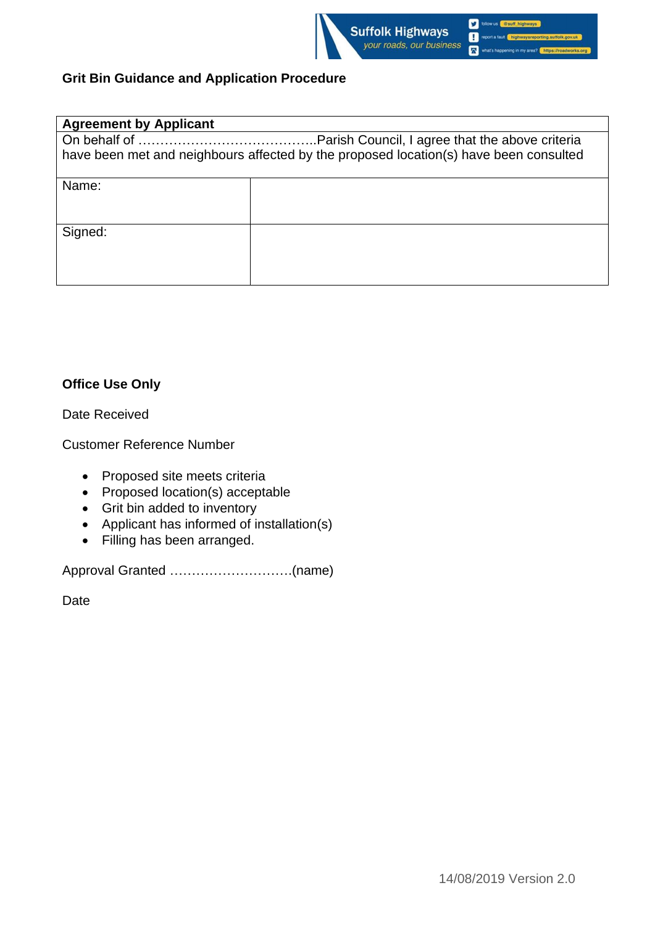

| <b>Agreement by Applicant</b>                                                         |  |  |
|---------------------------------------------------------------------------------------|--|--|
|                                                                                       |  |  |
| have been met and neighbours affected by the proposed location(s) have been consulted |  |  |
| Name:                                                                                 |  |  |
|                                                                                       |  |  |
|                                                                                       |  |  |
| Signed:                                                                               |  |  |
|                                                                                       |  |  |
|                                                                                       |  |  |
|                                                                                       |  |  |

### **Office Use Only**

Date Received

Customer Reference Number

- Proposed site meets criteria
- Proposed location(s) acceptable
- Grit bin added to inventory
- Applicant has informed of installation(s)
- Filling has been arranged.

Approval Granted ……………………….(name)

Date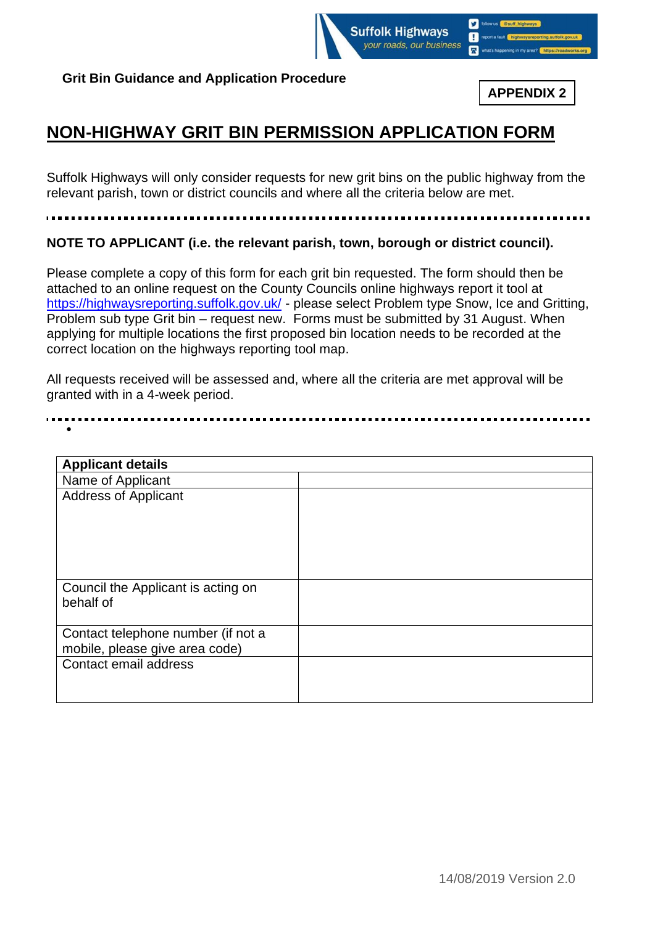

**APPENDIX 2**

# **NON-HIGHWAY GRIT BIN PERMISSION APPLICATION FORM**

Suffolk Highways will only consider requests for new grit bins on the public highway from the relevant parish, town or district councils and where all the criteria below are met.

**NOTE TO APPLICANT (i.e. the relevant parish, town, borough or district council).**

Please complete a copy of this form for each grit bin requested. The form should then be attached to an online request on the County Councils online highways report it tool at <https://highwaysreporting.suffolk.gov.uk/> - please select Problem type Snow, Ice and Gritting, Problem sub type Grit bin – request new. Forms must be submitted by 31 August. When applying for multiple locations the first proposed bin location needs to be recorded at the correct location on the highways reporting tool map.

All requests received will be assessed and, where all the criteria are met approval will be granted with in a 4-week period.

| <b>Applicant details</b>                                             |  |
|----------------------------------------------------------------------|--|
| Name of Applicant                                                    |  |
| <b>Address of Applicant</b>                                          |  |
| Council the Applicant is acting on<br>behalf of                      |  |
| Contact telephone number (if not a<br>mobile, please give area code) |  |
| Contact email address                                                |  |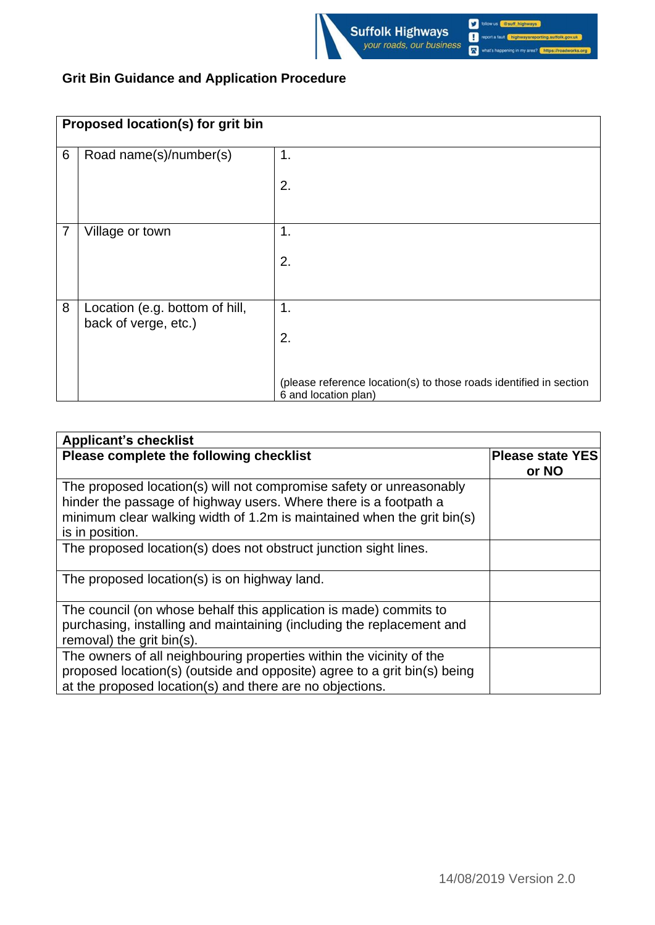

| Proposed location(s) for grit bin |                                                        |                                                                                            |
|-----------------------------------|--------------------------------------------------------|--------------------------------------------------------------------------------------------|
| 6                                 | Road name(s)/number(s)                                 | 1.                                                                                         |
|                                   |                                                        | 2.                                                                                         |
| $\overline{7}$                    | Village or town                                        | 1.                                                                                         |
|                                   |                                                        | 2.                                                                                         |
| 8                                 | Location (e.g. bottom of hill,<br>back of verge, etc.) | 1.                                                                                         |
|                                   |                                                        | 2.                                                                                         |
|                                   |                                                        | (please reference location(s) to those roads identified in section<br>6 and location plan) |

| <b>Applicant's checklist</b>                                                                                                                                                                                                         |                                  |
|--------------------------------------------------------------------------------------------------------------------------------------------------------------------------------------------------------------------------------------|----------------------------------|
| Please complete the following checklist                                                                                                                                                                                              | <b>Please state YES</b><br>or NO |
| The proposed location(s) will not compromise safety or unreasonably<br>hinder the passage of highway users. Where there is a footpath a<br>minimum clear walking width of 1.2m is maintained when the grit bin(s)<br>is in position. |                                  |
| The proposed location(s) does not obstruct junction sight lines.                                                                                                                                                                     |                                  |
| The proposed location(s) is on highway land.                                                                                                                                                                                         |                                  |
| The council (on whose behalf this application is made) commits to<br>purchasing, installing and maintaining (including the replacement and<br>removal) the grit bin(s).                                                              |                                  |
| The owners of all neighbouring properties within the vicinity of the<br>proposed location(s) (outside and opposite) agree to a grit bin(s) being<br>at the proposed location(s) and there are no objections.                         |                                  |